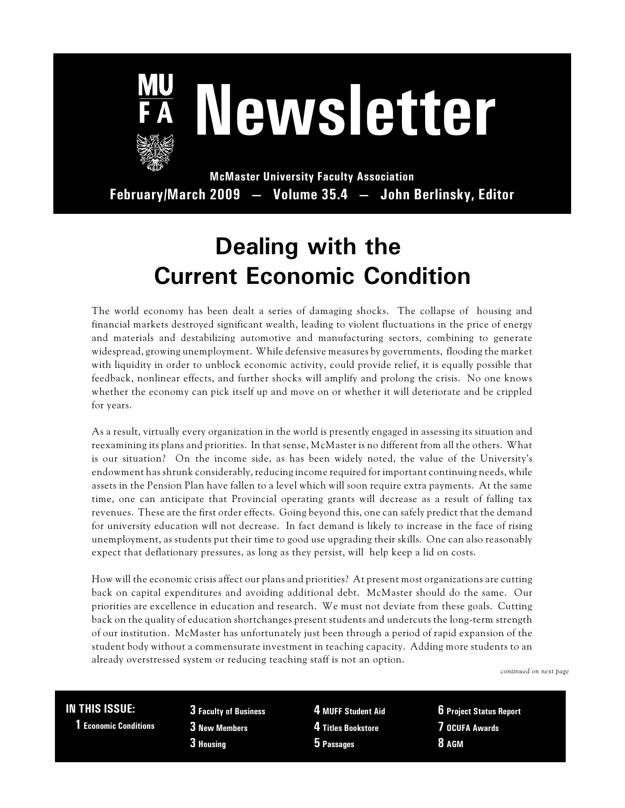

# **Newsletter**

**McMaster University Faculty Association February/March 2009 — Volume 35.4 — John Berlinsky, Editor**

## **Dealing with the Current Economic Condition**

The world economy has been dealt a series of damaging shocks. The collapse of housing and financial markets destroyed significant wealth, leading to violent fluctuations in the price of energy and materials and destabilizing automotive and manufacturing sectors, combining to generate widespread, growing unemployment. While defensive measures by governments, flooding the market with liquidity in order to unblock economic activity, could provide relief, it is equally possible that feedback, nonlinear effects, and further shocks will amplify and prolong the crisis. No one knows whether the economy can pick itself up and move on or whether it will deteriorate and be crippled for years.

As a result, virtually every organization in the world is presently engaged in assessing its situation and reexamining its plans and priorities. In that sense, McMaster is no different from all the others. What is our situation? On the income side, as has been widely noted, the value of the University's endowment has shrunk considerably, reducing income required for important continuing needs, while assets in the Pension Plan have fallen to a level which will soon require extra payments. At the same time, one can anticipate that Provincial operating grants will decrease as a result of falling tax revenues. These are the first order effects. Going beyond this, one can safely predict that the demand for university education will not decrease. In fact demand is likely to increase in the face of rising unemployment, as students put their time to good use upgrading their skills. One can also reasonably expect that deflationary pressures, as long as they persist, will help keep a lid on costs.

How will the economic crisis affect our plans and priorities? At present most organizations are cutting back on capital expenditures and avoiding additional debt. McMaster should do the same. Our priorities are excellence in education and research. We must not deviate from these goals. Cutting back on the quality of education shortchanges present students and undercuts the long-term strength of our institution. McMaster has unfortunately just been through a period of rapid expansion of the student body without a commensurate investment in teaching capacity. Adding more students to an already overstressed system or reducing teaching staff is not an option.

*continued on next page*

#### **IN THIS ISSUE:**

 **1 Economic Conditions**

**3 Faculty of Business 3 New Members 3 Housing**

**4 MUFF Student Aid 4 Titles Bookstore 5 Passages**

**6 Project Status Report 7 OCUFA Awards 8 AGM**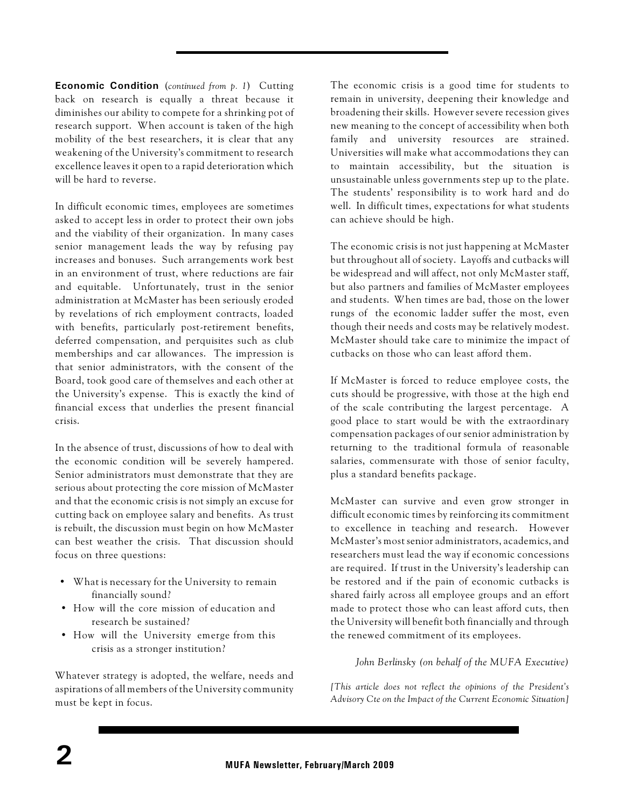**Economic Condition** (*continued from p. 1*) Cutting back on research is equally a threat because it diminishes our ability to compete for a shrinking pot of research support. When account is taken of the high mobility of the best researchers, it is clear that any weakening of the University's commitment to research excellence leaves it open to a rapid deterioration which will be hard to reverse.

In difficult economic times, employees are sometimes asked to accept less in order to protect their own jobs and the viability of their organization. In many cases senior management leads the way by refusing pay increases and bonuses. Such arrangements work best in an environment of trust, where reductions are fair and equitable. Unfortunately, trust in the senior administration at McMaster has been seriously eroded by revelations of rich employment contracts, loaded with benefits, particularly post-retirement benefits, deferred compensation, and perquisites such as club memberships and car allowances. The impression is that senior administrators, with the consent of the Board, took good care of themselves and each other at the University's expense. This is exactly the kind of financial excess that underlies the present financial crisis.

In the absence of trust, discussions of how to deal with the economic condition will be severely hampered. Senior administrators must demonstrate that they are serious about protecting the core mission of McMaster and that the economic crisis is not simply an excuse for cutting back on employee salary and benefits. As trust is rebuilt, the discussion must begin on how McMaster can best weather the crisis. That discussion should focus on three questions:

- What is necessary for the University to remain financially sound?
- How will the core mission of education and research be sustained?
- How will the University emerge from this crisis as a stronger institution?

Whatever strategy is adopted, the welfare, needs and aspirations of all members of the University community must be kept in focus.

The economic crisis is a good time for students to remain in university, deepening their knowledge and broadening their skills. However severe recession gives new meaning to the concept of accessibility when both family and university resources are strained. Universities will make what accommodations they can to maintain accessibility, but the situation is unsustainable unless governments step up to the plate. The students' responsibility is to work hard and do well. In difficult times, expectations for what students can achieve should be high.

The economic crisis is not just happening at McMaster but throughout all of society. Layoffs and cutbacks will be widespread and will affect, not only McMaster staff, but also partners and families of McMaster employees and students. When times are bad, those on the lower rungs of the economic ladder suffer the most, even though their needs and costs may be relatively modest. McMaster should take care to minimize the impact of cutbacks on those who can least afford them.

If McMaster is forced to reduce employee costs, the cuts should be progressive, with those at the high end of the scale contributing the largest percentage. A good place to start would be with the extraordinary compensation packages of our senior administration by returning to the traditional formula of reasonable salaries, commensurate with those of senior faculty, plus a standard benefits package.

McMaster can survive and even grow stronger in difficult economic times by reinforcing its commitment to excellence in teaching and research. However McMaster's most senior administrators, academics, and researchers must lead the way if economic concessions are required. If trust in the University's leadership can be restored and if the pain of economic cutbacks is shared fairly across all employee groups and an effort made to protect those who can least afford cuts, then the University will benefit both financially and through the renewed commitment of its employees.

*John Berlinsky (on behalf of the MUFA Executive)*

*[This article does not reflect the opinions of the President's Advisory Cte on the Impact of the Current Economic Situation]*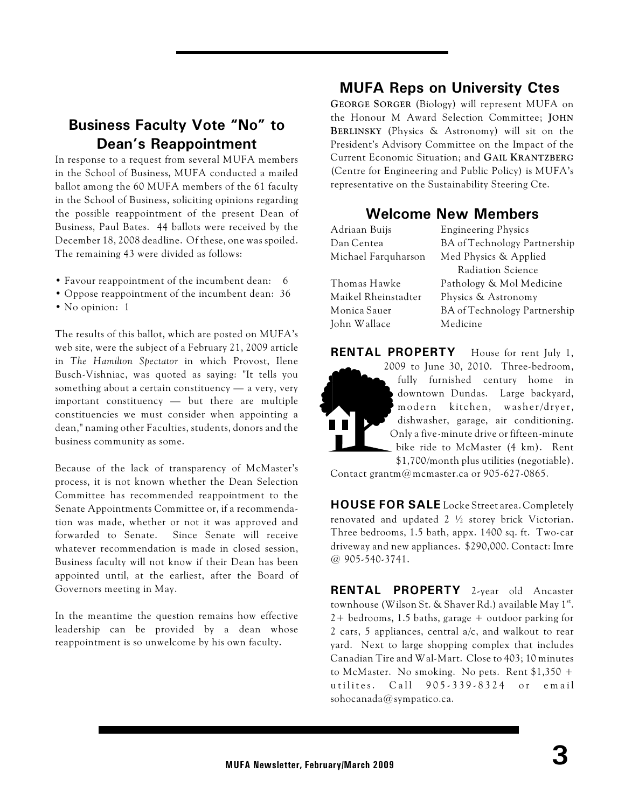#### **Business Faculty Vote "No" to Dean's Reappointment**

In response to a request from several MUFA members in the School of Business, MUFA conducted a mailed ballot among the 60 MUFA members of the 61 faculty in the School of Business, soliciting opinions regarding the possible reappointment of the present Dean of Business, Paul Bates. 44 ballots were received by the December 18, 2008 deadline. Of these, one was spoiled. The remaining 43 were divided as follows:

- Favour reappointment of the incumbent dean: 6
- Oppose reappointment of the incumbent dean: 36
- No opinion: 1

The results of this ballot, which are posted on MUFA's web site, were the subject of a February 21, 2009 article in *The Hamilton Spectator* in which Provost, Ilene Busch-Vishniac, was quoted as saying: "It tells you something about a certain constituency — a very, very important constituency — but there are multiple constituencies we must consider when appointing a dean," naming other Faculties, students, donors and the business community as some.

Because of the lack of transparency of McMaster's process, it is not known whether the Dean Selection Committee has recommended reappointment to the Senate Appointments Committee or, if a recommendation was made, whether or not it was approved and forwarded to Senate. Since Senate will receive whatever recommendation is made in closed session. Business faculty will not know if their Dean has been appointed until, at the earliest, after the Board of Governors meeting in May.

In the meantime the question remains how effective leadership can be provided by a dean whose reappointment is so unwelcome by his own faculty.

#### **MUFA Reps on University Ctes**

**GEORGE SORGER** (Biology) will represent MUFA on the Honour M Award Selection Committee; **JOHN BERLINSKY** (Physics & Astronomy) will sit on the President's Advisory Committee on the Impact of the Current Economic Situation; and **GAIL KRANTZBERG** (Centre for Engineering and Public Policy) is MUFA's representative on the Sustainability Steering Cte.

#### **Welcome New Members**

| Adriaan Buijs       | <b>Engineering Physics</b>          |  |
|---------------------|-------------------------------------|--|
| Dan Centea          | BA of Technology Partnership        |  |
| Michael Farquharson | Med Physics & Applied               |  |
|                     | Radiation Science                   |  |
| Thomas Hawke        | Pathology & Mol Medicine            |  |
| Maikel Rheinstadter | Physics & Astronomy                 |  |
| Monica Sauer        | <b>BA</b> of Technology Partnership |  |
| John Wallace        | Medicine                            |  |
|                     |                                     |  |



Contact grantm@mcmaster.ca or 905-627-0865.

**HOUSE FOR SALE** Locke Street area. Completely renovated and updated 2 ½ storey brick Victorian. Three bedrooms, 1.5 bath, appx. 1400 sq. ft. Two-car driveway and new appliances. \$290,000. Contact: Imre @ 905-540-3741.

**RENTAL PROPERTY** 2-year old Ancaster townhouse (Wilson St. & Shaver Rd.) available May 1<sup>st</sup>. 2+ bedrooms, 1.5 baths, garage + outdoor parking for 2 cars, 5 appliances, central a/c, and walkout to rear yard. Next to large shopping complex that includes Canadian Tire and Wal-Mart. Close to 403; 10 minutes to McMaster. No smoking. No pets. Rent \$1,350 + u tilites. Call 905-339-8324 or email sohocanada@sympatico.ca.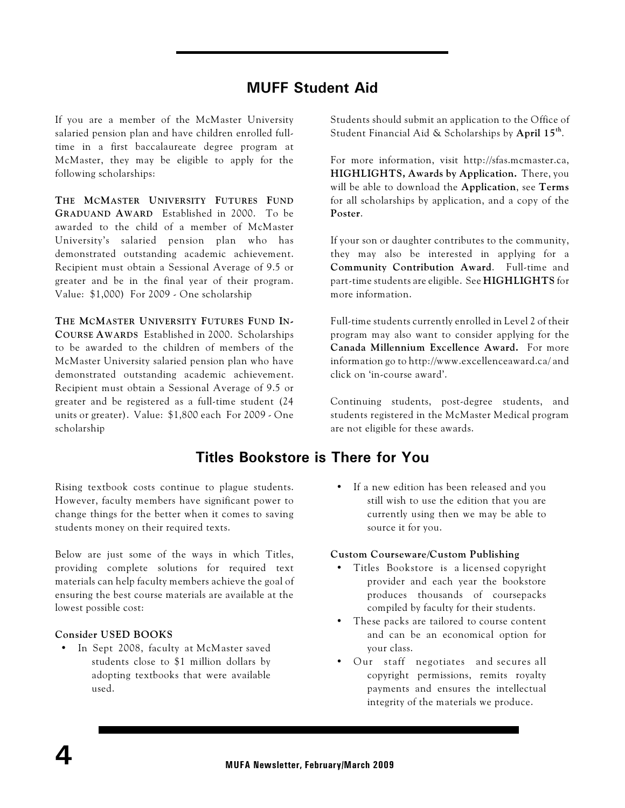#### **MUFF Student Aid**

If you are a member of the McMaster University salaried pension plan and have children enrolled fulltime in a first baccalaureate degree program at McMaster, they may be eligible to apply for the following scholarships:

**THE MCMASTER UNIVERSITY FUTURES FUND GRADUAND AWARD** Established in 2000. To be awarded to the child of a member of McMaster University's salaried pension plan who has demonstrated outstanding academic achievement. Recipient must obtain a Sessional Average of 9.5 or greater and be in the final year of their program. Value: \$1,000) For 2009 - One scholarship

**THE MCMASTER UNIVERSITY FUTURES FUND IN-COURSE AWARDS** Established in 2000. Scholarships to be awarded to the children of members of the McMaster University salaried pension plan who have demonstrated outstanding academic achievement. Recipient must obtain a Sessional Average of 9.5 or greater and be registered as a full-time student (24 units or greater). Value: \$1,800 each For 2009 - One scholarship

**Titles Bookstore is There for You**

Rising textbook costs continue to plague students. However, faculty members have significant power to change things for the better when it comes to saving students money on their required texts.

Below are just some of the ways in which Titles, providing complete solutions for required text materials can help faculty members achieve the goal of ensuring the best course materials are available at the lowest possible cost:

#### **Consider USED BOOKS**

• In Sept 2008, faculty at McMaster saved students close to \$1 million dollars by adopting textbooks that were available used.

Students should submit an application to the Office of Student Financial Aid & Scholarships by **April 15<sup>th</sup>.** 

For more information, visit http://sfas.mcmaster.ca, **HIGHLIGHTS, Awards by Application.** There, you will be able to download the **Application**, see **Terms** for all scholarships by application, and a copy of the **Poster**.

If your son or daughter contributes to the community, they may also be interested in applying for a **Community Contribution Award**. Full-time and part-time students are eligible. See **HIGHLIGHTS** for more information.

Full-time students currently enrolled in Level 2 of their program may also want to consider applying for the **Canada Millennium Excellence Award.** For more information go to http://www.excellenceaward.ca/ and click on 'in-course award'.

Continuing students, post-degree students, and students registered in the McMaster Medical program are not eligible for these awards.

• If a new edition has been released and you still wish to use the edition that you are currently using then we may be able to source it for you.

#### **Custom Courseware/Custom Publishing**

- Titles Bookstore is a licensed copyright provider and each year the bookstore produces thousands of coursepacks compiled by faculty for their students.
- These packs are tailored to course content and can be an economical option for your class.
- Our staff negotiates and secures all copyright permissions, remits royalty payments and ensures the intellectual integrity of the materials we produce.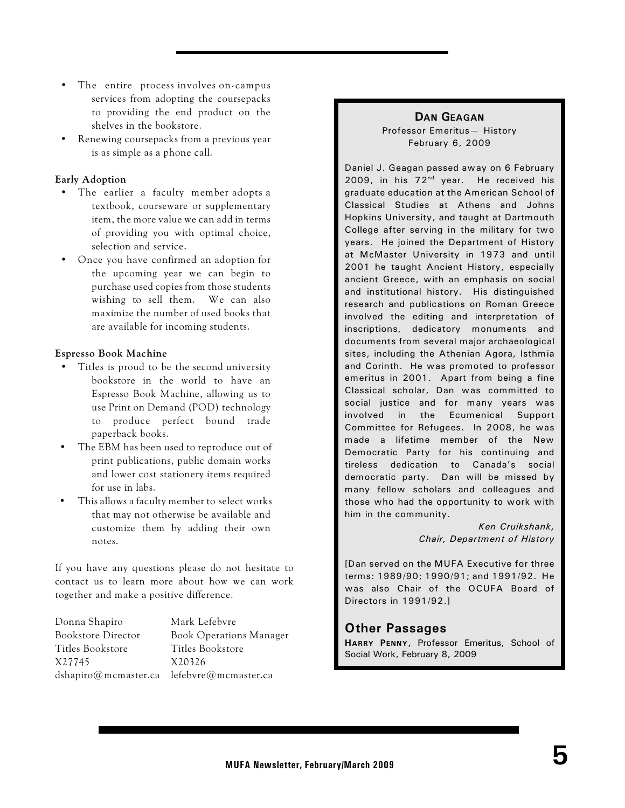- The entire process involves on-campus services from adopting the coursepacks to providing the end product on the shelves in the bookstore.
- Renewing coursepacks from a previous year is as simple as a phone call.

#### **Early Adoption**

- The earlier a faculty member adopts a textbook, courseware or supplementary item, the more value we can add in terms of providing you with optimal choice, selection and service.
- Once you have confirmed an adoption for the upcoming year we can begin to purchase used copies from those students wishing to sell them. We can also maximize the number of used books that are available for incoming students.

#### **Espresso Book Machine**

- Titles is proud to be the second university bookstore in the world to have an Espresso Book Machine, allowing us to use Print on Demand (POD) technology to produce perfect bound trade paperback books.
- The EBM has been used to reproduce out of print publications, public domain works and lower cost stationery items required for use in labs.
- This allows a faculty member to select works that may not otherwise be available and customize them by adding their own notes.

If you have any questions please do not hesitate to contact us to learn more about how we can work together and make a positive difference.

Donna Shapiro Mark Lefebvre Titles Bookstore Titles Bookstore X27745 X20326

Bookstore Director Book Operations Manager dshapiro@mcmaster.ca lefebvre@mcmaster.ca

#### **DAN GEAGAN**

Professor Emeritus— History February 6, 2009

Daniel J. Geagan passed away on 6 February 2009, in his  $72<sup>nd</sup>$  year. He received his graduate education at the American School of Classical Studies at Athens and Johns Hopkins University, and taught at Dartmouth College after serving in the military for two years. He joined the Department of History at McMaster University in 1973 and until 2001 he taught Ancient History, especially ancient Greece, with an emphasis on social and institutional history. His distinguished research and publications on Roman Greece involved the editing and interpretation of inscriptions, dedicatory monuments and documents from several major archaeological sites, including the Athenian Agora, Isthmia and Corinth. He was promoted to professor emeritus in 2001. Apart from being a fine Classical scholar, Dan was committed to social justice and for many years was involved in the Ecumenical Support Committee for Refugees. In 2008, he was made a lifetime member of the New Democratic Party for his continuing and tireless dedication to Canada's social democratic party. Dan will be missed by many fellow scholars and colleagues and those who had the opportunity to work with him in the community.

> *Ken Cruikshank, Chair, Department of History*

[Dan served on the MUFA Executive for three terms: 1989/90; 1990/91; and 1991/92. He was also Chair of the OCUFA Board of Directors in 1991/92.]

#### **Other Passages**

**HARRY PENNY,** Professor Emeritus, School of Social Work, February 8, 2009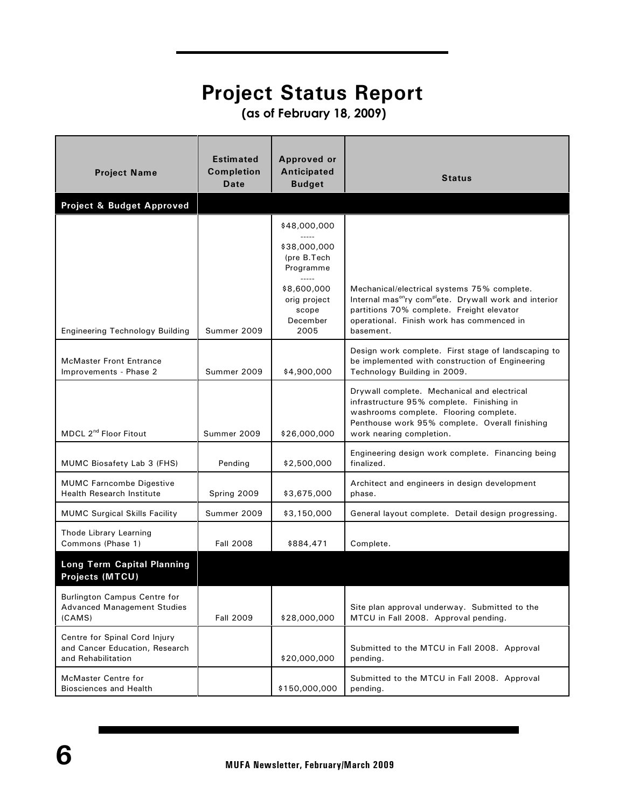### **Project Status Report**

 **(as of February 18, 2009)**

| <b>Project Name</b>                                                                   | <b>Estimated</b><br><b>Completion</b><br>Date | <b>Approved or</b><br>Anticipated<br><b>Budget</b>       | <b>Status</b>                                                                                                                                                                                                                        |
|---------------------------------------------------------------------------------------|-----------------------------------------------|----------------------------------------------------------|--------------------------------------------------------------------------------------------------------------------------------------------------------------------------------------------------------------------------------------|
| Project & Budget Approved                                                             |                                               |                                                          |                                                                                                                                                                                                                                      |
|                                                                                       |                                               | \$48,000,000                                             |                                                                                                                                                                                                                                      |
|                                                                                       |                                               | \$38,000,000<br>(pre B.Tech<br>Programme                 |                                                                                                                                                                                                                                      |
| <b>Engineering Technology Building</b>                                                | Summer 2009                                   | \$8,600,000<br>orig project<br>scope<br>December<br>2005 | Mechanical/electrical systems 75% complete.<br>Internal mas <sup>on</sup> ry com <sup>pl</sup> ete. Drywall work and interior<br>partitions 70% complete. Freight elevator<br>operational. Finish work has commenced in<br>basement. |
| <b>McMaster Front Entrance</b><br>Improvements - Phase 2                              | Summer 2009                                   | \$4,900,000                                              | Design work complete. First stage of landscaping to<br>be implemented with construction of Engineering<br>Technology Building in 2009.                                                                                               |
| MDCL 2 <sup>nd</sup> Floor Fitout                                                     | Summer 2009                                   | \$26,000,000                                             | Drywall complete. Mechanical and electrical<br>infrastructure 95% complete. Finishing in<br>washrooms complete. Flooring complete.<br>Penthouse work 95% complete. Overall finishing<br>work nearing completion.                     |
| MUMC Biosafety Lab 3 (FHS)                                                            | Pending                                       | \$2,500,000                                              | Engineering design work complete. Financing being<br>finalized.                                                                                                                                                                      |
| <b>MUMC Farncombe Digestive</b><br><b>Health Research Institute</b>                   | Spring 2009                                   | \$3,675,000                                              | Architect and engineers in design development<br>phase.                                                                                                                                                                              |
| <b>MUMC Surgical Skills Facility</b>                                                  | Summer 2009                                   | \$3,150,000                                              | General layout complete. Detail design progressing.                                                                                                                                                                                  |
| Thode Library Learning<br>Commons (Phase 1)                                           | <b>Fall 2008</b>                              | \$884,471                                                | Complete.                                                                                                                                                                                                                            |
| <b>Long Term Capital Planning</b><br>Projects (MTCU)                                  |                                               |                                                          |                                                                                                                                                                                                                                      |
| <b>Burlington Campus Centre for</b><br><b>Advanced Management Studies</b><br>(CAMS)   | <b>Fall 2009</b>                              | \$28,000,000                                             | Site plan approval underway. Submitted to the<br>MTCU in Fall 2008. Approval pending.                                                                                                                                                |
| Centre for Spinal Cord Injury<br>and Cancer Education, Research<br>and Rehabilitation |                                               | \$20,000,000                                             | Submitted to the MTCU in Fall 2008. Approval<br>pending.                                                                                                                                                                             |
| McMaster Centre for<br><b>Biosciences and Health</b>                                  |                                               | \$150,000,000                                            | Submitted to the MTCU in Fall 2008. Approval<br>pending.                                                                                                                                                                             |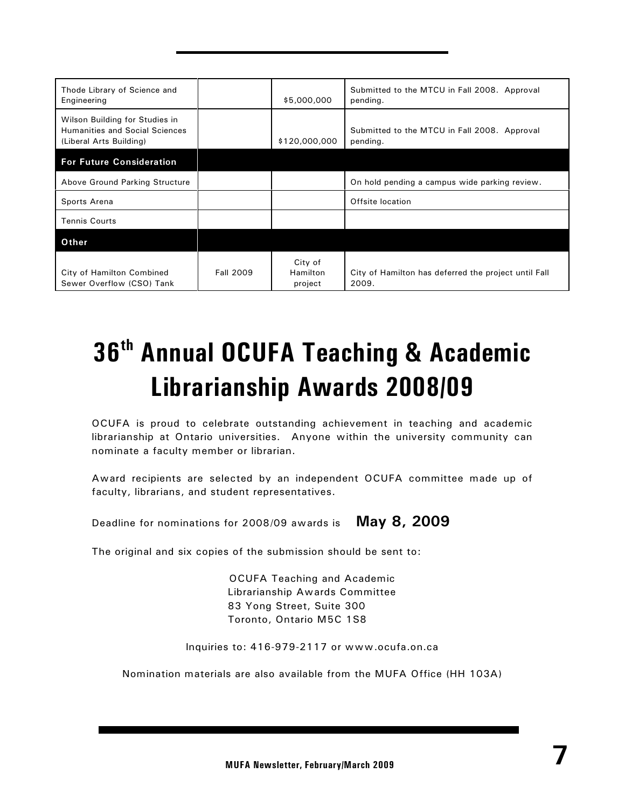| Thode Library of Science and<br>Engineering                                                        |                  | \$5,000,000                    | Submitted to the MTCU in Fall 2008. Approval<br>pending.      |
|----------------------------------------------------------------------------------------------------|------------------|--------------------------------|---------------------------------------------------------------|
| Wilson Building for Studies in<br><b>Humanities and Social Sciences</b><br>(Liberal Arts Building) |                  | \$120,000,000                  | Submitted to the MTCU in Fall 2008. Approval<br>pending.      |
| <b>For Future Consideration</b>                                                                    |                  |                                |                                                               |
| Above Ground Parking Structure                                                                     |                  |                                | On hold pending a campus wide parking review.                 |
| Sports Arena                                                                                       |                  |                                | Offsite location                                              |
| <b>Tennis Courts</b>                                                                               |                  |                                |                                                               |
| Other                                                                                              |                  |                                |                                                               |
| City of Hamilton Combined<br>Sewer Overflow (CSO) Tank                                             | <b>Fall 2009</b> | City of<br>Hamilton<br>project | City of Hamilton has deferred the project until Fall<br>2009. |

## **36<sup>th</sup> Annual OCUFA Teaching & Academic Librarianship Awards 2008/09**

OCUFA is proud to celebrate outstanding achievement in teaching and academic librarianship at Ontario universities. Anyone within the university community can nominate a faculty member or librarian.

Award recipients are selected by an independent OCUFA committee made up of faculty, librarians, and student representatives.

Deadline for nominations for 2008/09 awards is **May 8, 2009**

The original and six copies of the submission should be sent to:

OCUFA Teaching and Academic Librarianship Awards Committee 83 Yong Street, Suite 300 Toronto, Ontario M5C 1S8

Inquiries to: 416-979-2117 or www.ocufa.on.ca

Nomination materials are also available from the MUFA Office (HH 103A)